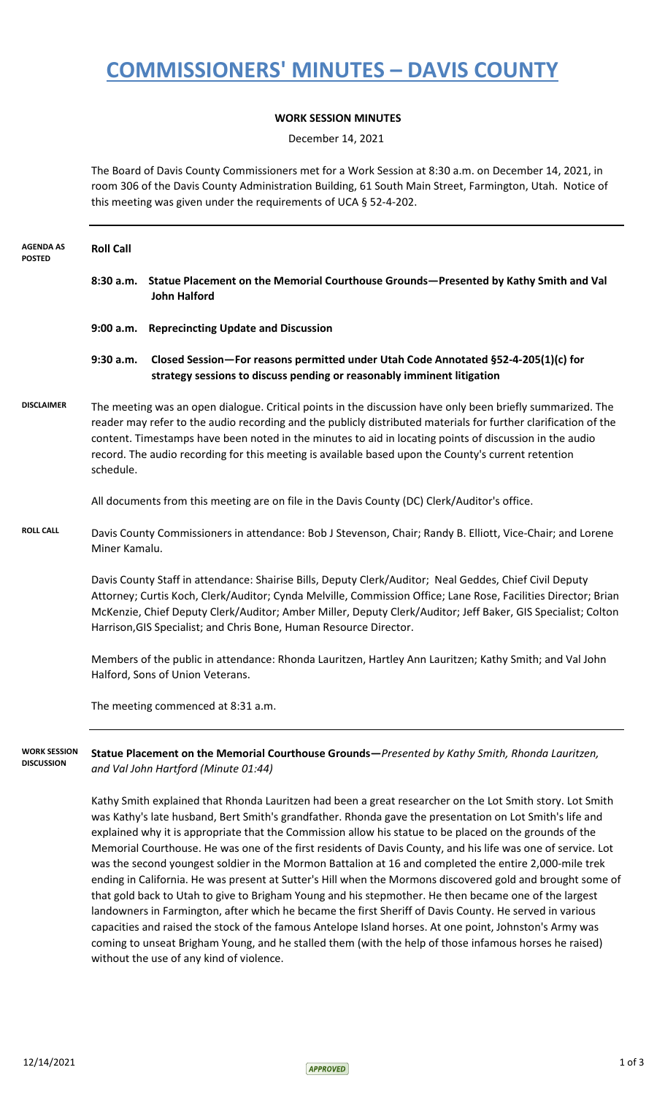### **COMMISSIONERS' MINUTES – DAVIS COUNTY**

### **WORK SESSION MINUTES**

December 14, 2021

The Board of Davis County Commissioners met for a Work Session at 8:30 a.m. on December 14, 2021, in room 306 of the Davis County Administration Building, 61 South Main Street, Farmington, Utah. Notice of this meeting was given under the requirements of UCA § 52-4-202.

| <b>AGENDA AS</b><br><b>POSTED</b>        | <b>Roll Call</b>                                                                                                                                                                                                                                                                                                                                                                                                                                             |                                                                                                                                                                                                                                                                                                                                                                                                                                                                                                                                                                |  |
|------------------------------------------|--------------------------------------------------------------------------------------------------------------------------------------------------------------------------------------------------------------------------------------------------------------------------------------------------------------------------------------------------------------------------------------------------------------------------------------------------------------|----------------------------------------------------------------------------------------------------------------------------------------------------------------------------------------------------------------------------------------------------------------------------------------------------------------------------------------------------------------------------------------------------------------------------------------------------------------------------------------------------------------------------------------------------------------|--|
|                                          |                                                                                                                                                                                                                                                                                                                                                                                                                                                              | 8:30 a.m. Statue Placement on the Memorial Courthouse Grounds-Presented by Kathy Smith and Val<br><b>John Halford</b>                                                                                                                                                                                                                                                                                                                                                                                                                                          |  |
|                                          |                                                                                                                                                                                                                                                                                                                                                                                                                                                              | 9:00 a.m. Reprecincting Update and Discussion                                                                                                                                                                                                                                                                                                                                                                                                                                                                                                                  |  |
|                                          | 9:30 a.m.                                                                                                                                                                                                                                                                                                                                                                                                                                                    | Closed Session-For reasons permitted under Utah Code Annotated §52-4-205(1)(c) for<br>strategy sessions to discuss pending or reasonably imminent litigation                                                                                                                                                                                                                                                                                                                                                                                                   |  |
| <b>DISCLAIMER</b>                        | The meeting was an open dialogue. Critical points in the discussion have only been briefly summarized. The<br>reader may refer to the audio recording and the publicly distributed materials for further clarification of the<br>content. Timestamps have been noted in the minutes to aid in locating points of discussion in the audio<br>record. The audio recording for this meeting is available based upon the County's current retention<br>schedule. |                                                                                                                                                                                                                                                                                                                                                                                                                                                                                                                                                                |  |
|                                          |                                                                                                                                                                                                                                                                                                                                                                                                                                                              | All documents from this meeting are on file in the Davis County (DC) Clerk/Auditor's office.                                                                                                                                                                                                                                                                                                                                                                                                                                                                   |  |
| <b>ROLL CALL</b>                         | Davis County Commissioners in attendance: Bob J Stevenson, Chair; Randy B. Elliott, Vice-Chair; and Lorene<br>Miner Kamalu.                                                                                                                                                                                                                                                                                                                                  |                                                                                                                                                                                                                                                                                                                                                                                                                                                                                                                                                                |  |
|                                          |                                                                                                                                                                                                                                                                                                                                                                                                                                                              | Davis County Staff in attendance: Shairise Bills, Deputy Clerk/Auditor; Neal Geddes, Chief Civil Deputy<br>Attorney; Curtis Koch, Clerk/Auditor; Cynda Melville, Commission Office; Lane Rose, Facilities Director; Brian<br>McKenzie, Chief Deputy Clerk/Auditor; Amber Miller, Deputy Clerk/Auditor; Jeff Baker, GIS Specialist; Colton<br>Harrison, GIS Specialist; and Chris Bone, Human Resource Director.<br>Members of the public in attendance: Rhonda Lauritzen, Hartley Ann Lauritzen; Kathy Smith; and Val John<br>Halford, Sons of Union Veterans. |  |
|                                          |                                                                                                                                                                                                                                                                                                                                                                                                                                                              |                                                                                                                                                                                                                                                                                                                                                                                                                                                                                                                                                                |  |
|                                          |                                                                                                                                                                                                                                                                                                                                                                                                                                                              | The meeting commenced at 8:31 a.m.                                                                                                                                                                                                                                                                                                                                                                                                                                                                                                                             |  |
| <b>WORK SESSION</b><br><b>DISCUSSION</b> |                                                                                                                                                                                                                                                                                                                                                                                                                                                              | Statue Placement on the Memorial Courthouse Grounds-Presented by Kathy Smith, Rhonda Lauritzen,<br>and Val John Hartford (Minute 01:44)                                                                                                                                                                                                                                                                                                                                                                                                                        |  |
|                                          |                                                                                                                                                                                                                                                                                                                                                                                                                                                              | Kathy Smith explained that Rhonda Lauritzen had been a great researcher on the Lot Smith story. Lot Smith<br>was Kathy's late husband, Bert Smith's grandfather. Rhonda gave the presentation on Lot Smith's life and<br>explained why it is appropriate that the Commission allow his statue to be placed on the grounds of the<br>Memorial Courthouse. He was one of the first residents of Davis County, and his life was one of service. Lot                                                                                                               |  |

was the second youngest soldier in the Mormon Battalion at 16 and completed the entire 2,000-mile trek ending in California. He was present at Sutter's Hill when the Mormons discovered gold and brought some of that gold back to Utah to give to Brigham Young and his stepmother. He then became one of the largest landowners in Farmington, after which he became the first Sheriff of Davis County. He served in various capacities and raised the stock of the famous Antelope Island horses. At one point, Johnston's Army was coming to unseat Brigham Young, and he stalled them (with the help of those infamous horses he raised) without the use of any kind of violence.

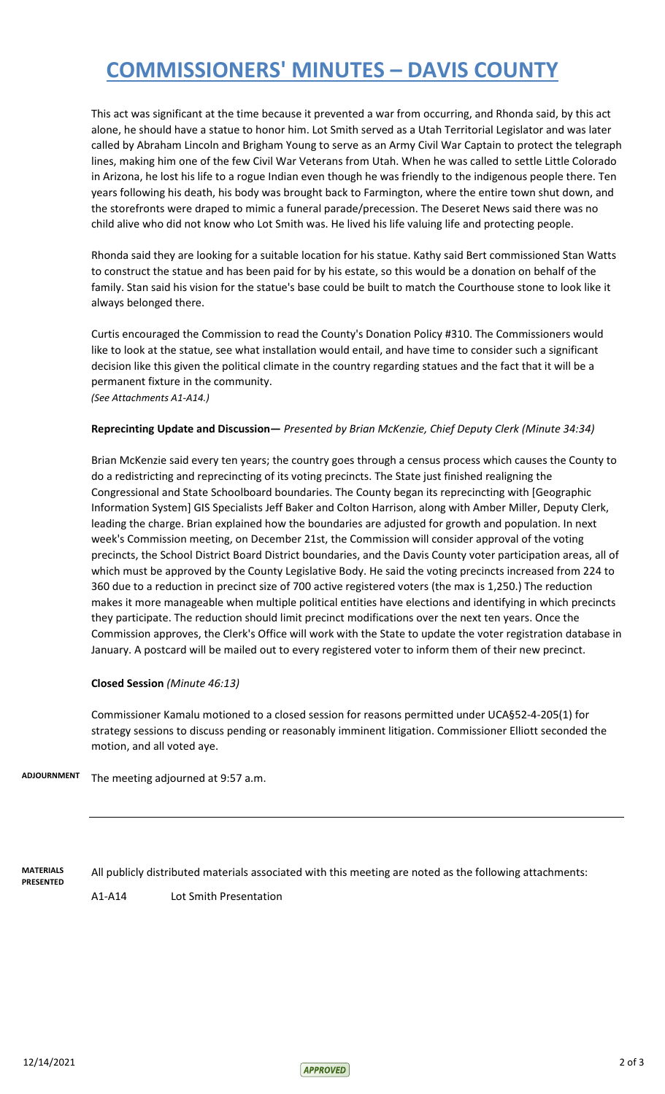## **COMMISSIONERS' MINUTES – DAVIS COUNTY**

This act was significant at the time because it prevented a war from occurring, and Rhonda said, by this act alone, he should have a statue to honor him. Lot Smith served as a Utah Territorial Legislator and was later called by Abraham Lincoln and Brigham Young to serve as an Army Civil War Captain to protect the telegraph lines, making him one of the few Civil War Veterans from Utah. When he was called to settle Little Colorado in Arizona, he lost his life to a rogue Indian even though he was friendly to the indigenous people there. Ten years following his death, his body was brought back to Farmington, where the entire town shut down, and the storefronts were draped to mimic a funeral parade/precession. The Deseret News said there was no child alive who did not know who Lot Smith was. He lived his life valuing life and protecting people.

Rhonda said they are looking for a suitable location for his statue. Kathy said Bert commissioned Stan Watts to construct the statue and has been paid for by his estate, so this would be a donation on behalf of the family. Stan said his vision for the statue's base could be built to match the Courthouse stone to look like it always belonged there.

Curtis encouraged the Commission to read the County's Donation Policy #310. The Commissioners would like to look at the statue, see what installation would entail, and have time to consider such a significant decision like this given the political climate in the country regarding statues and the fact that it will be a permanent fixture in the community.

*(See Attachments A1-A14.)*

#### **Reprecinting Update and Discussion—** *Presented by Brian McKenzie, Chief Deputy Clerk (Minute 34:34)*

Brian McKenzie said every ten years; the country goes through a census process which causes the County to do a redistricting and reprecincting of its voting precincts. The State just finished realigning the Congressional and State Schoolboard boundaries. The County began its reprecincting with [Geographic Information System] GIS Specialists Jeff Baker and Colton Harrison, along with Amber Miller, Deputy Clerk, leading the charge. Brian explained how the boundaries are adjusted for growth and population. In next week's Commission meeting, on December 21st, the Commission will consider approval of the voting precincts, the School District Board District boundaries, and the Davis County voter participation areas, all of which must be approved by the County Legislative Body. He said the voting precincts increased from 224 to 360 due to a reduction in precinct size of 700 active registered voters (the max is 1,250.) The reduction makes it more manageable when multiple political entities have elections and identifying in which precincts they participate. The reduction should limit precinct modifications over the next ten years. Once the Commission approves, the Clerk's Office will work with the State to update the voter registration database in January. A postcard will be mailed out to every registered voter to inform them of their new precinct.

#### **Closed Session** *(Minute 46:13)*

Commissioner Kamalu motioned to a closed session for reasons permitted under UCA§52-4-205(1) for strategy sessions to discuss pending or reasonably imminent litigation. Commissioner Elliott seconded the motion, and all voted aye.

The meeting adjourned at 9:57 a.m. **ADJOURNMENT**

**MATERIALS PRESENTED** All publicly distributed materials associated with this meeting are noted as the following attachments:

A1-A14 Lot Smith Presentation